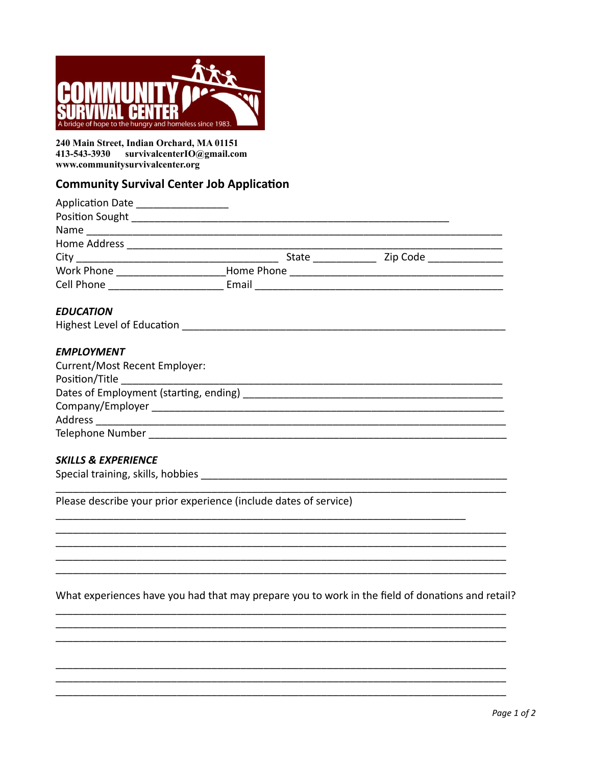

240 Main Street, Indian Orchard, MA 01151 413-543-3930 survivalcenterIO@gmail.com www.communitysurvivalcenter.org

# **Community Survival Center Job Application**

| Application Date _ |              |          |
|--------------------|--------------|----------|
| Position Sought    |              |          |
| Name               |              |          |
| Home Address       |              |          |
|                    | <b>State</b> | Zip Code |
| Work Phone         | Home Phone   |          |
| Cell Phone         | Email        |          |
|                    |              |          |

### **EDUCATION**

| <b>Highest Level of Education</b> |  |  |
|-----------------------------------|--|--|
|-----------------------------------|--|--|

### **EMPLOYMENT**

| Current/Most Recent Employer:          |  |
|----------------------------------------|--|
| Position/Title                         |  |
| Dates of Employment (starting, ending) |  |
| Company/Employer                       |  |
| Address                                |  |
| Telephone Number                       |  |

### **SKILLS & EXPERIENCE**

Please describe your prior experience (include dates of service)

What experiences have you had that may prepare you to work in the field of donations and retail?

 $\mathbb{R}^2$